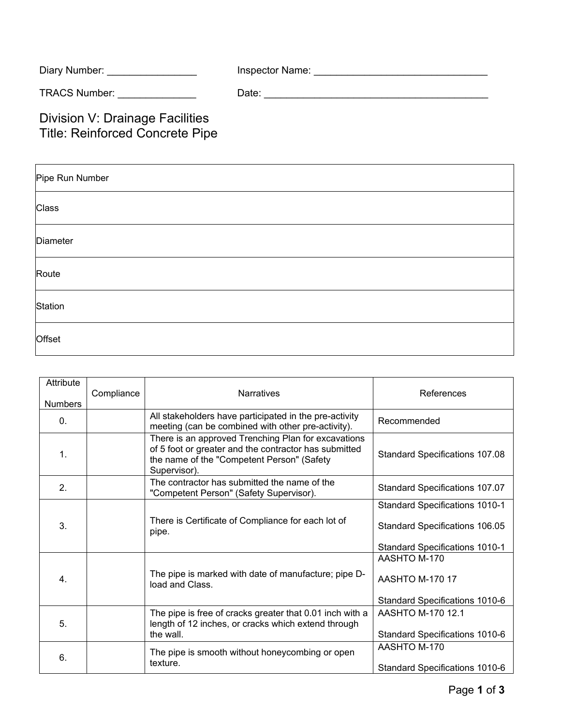| Diary Number: | Inspector Name: |
|---------------|-----------------|
|               |                 |

TRACS Number: \_\_\_\_\_\_\_\_\_\_\_\_\_\_ Date: \_\_\_\_\_\_\_\_\_\_\_\_\_\_\_\_\_\_\_\_\_\_\_\_\_\_\_\_\_\_\_\_\_\_\_\_\_\_\_\_

Division V: Drainage Facilities Title: Reinforced Concrete Pipe

| Pipe Run Number |  |  |  |  |
|-----------------|--|--|--|--|
| Class           |  |  |  |  |
| Diameter        |  |  |  |  |
| Route           |  |  |  |  |
| Station         |  |  |  |  |
| Offset          |  |  |  |  |

| Attribute<br><b>Numbers</b> | Compliance | <b>Narratives</b>                                                                                                                                                          | References                            |
|-----------------------------|------------|----------------------------------------------------------------------------------------------------------------------------------------------------------------------------|---------------------------------------|
| $\Omega$ .                  |            | All stakeholders have participated in the pre-activity<br>meeting (can be combined with other pre-activity).                                                               | Recommended                           |
| $\mathbf{1}$ .              |            | There is an approved Trenching Plan for excavations<br>of 5 foot or greater and the contractor has submitted<br>the name of the "Competent Person" (Safety<br>Supervisor). | <b>Standard Specifications 107.08</b> |
| 2.                          |            | The contractor has submitted the name of the<br>"Competent Person" (Safety Supervisor).                                                                                    | Standard Specifications 107.07        |
| 3 <sub>1</sub>              |            |                                                                                                                                                                            | Standard Specifications 1010-1        |
|                             |            | There is Certificate of Compliance for each lot of<br>pipe.                                                                                                                | Standard Specifications 106.05        |
|                             |            |                                                                                                                                                                            | <b>Standard Specifications 1010-1</b> |
|                             |            |                                                                                                                                                                            | AASHTO M-170                          |
| $\overline{4}$ .            |            | The pipe is marked with date of manufacture; pipe D-<br>load and Class.                                                                                                    | AASHTO M-170 17                       |
|                             |            |                                                                                                                                                                            | Standard Specifications 1010-6        |
| 5.                          |            | The pipe is free of cracks greater that 0.01 inch with a                                                                                                                   | AASHTO M-170 12.1                     |
|                             |            | length of 12 inches, or cracks which extend through<br>the wall.                                                                                                           | Standard Specifications 1010-6        |
| 6.                          |            | The pipe is smooth without honeycombing or open<br>texture.                                                                                                                | AASHTO M-170                          |
|                             |            |                                                                                                                                                                            | Standard Specifications 1010-6        |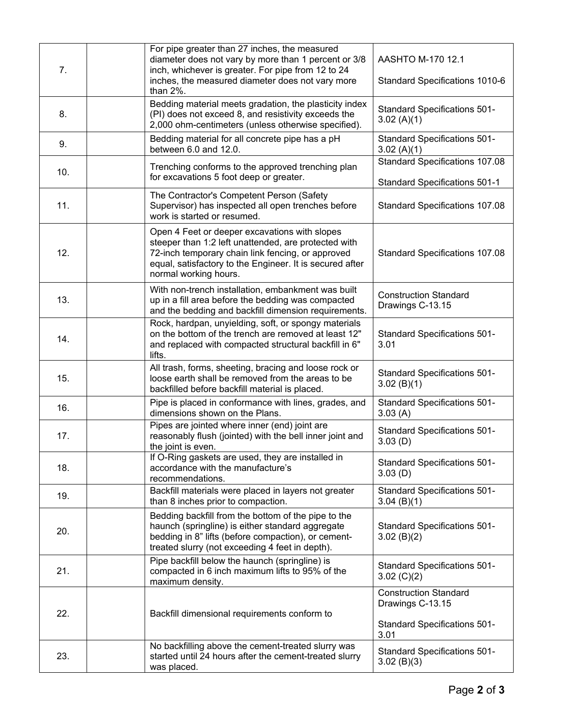| 7.  | For pipe greater than 27 inches, the measured<br>diameter does not vary by more than 1 percent or 3/8<br>inch, whichever is greater. For pipe from 12 to 24<br>inches, the measured diameter does not vary more<br>than 2%.                     | AASHTO M-170 12.1<br>Standard Specifications 1010-6                                             |
|-----|-------------------------------------------------------------------------------------------------------------------------------------------------------------------------------------------------------------------------------------------------|-------------------------------------------------------------------------------------------------|
| 8.  | Bedding material meets gradation, the plasticity index<br>(PI) does not exceed 8, and resistivity exceeds the<br>2,000 ohm-centimeters (unless otherwise specified).                                                                            | <b>Standard Specifications 501-</b><br>3.02(A)(1)                                               |
| 9.  | Bedding material for all concrete pipe has a pH<br>between 6.0 and 12.0.                                                                                                                                                                        | <b>Standard Specifications 501-</b><br>3.02(A)(1)                                               |
| 10. | Trenching conforms to the approved trenching plan<br>for excavations 5 foot deep or greater.                                                                                                                                                    | <b>Standard Specifications 107.08</b><br><b>Standard Specifications 501-1</b>                   |
| 11. | The Contractor's Competent Person (Safety<br>Supervisor) has inspected all open trenches before<br>work is started or resumed.                                                                                                                  | Standard Specifications 107.08                                                                  |
| 12. | Open 4 Feet or deeper excavations with slopes<br>steeper than 1:2 left unattended, are protected with<br>72-inch temporary chain link fencing, or approved<br>equal, satisfactory to the Engineer. It is secured after<br>normal working hours. | Standard Specifications 107.08                                                                  |
| 13. | With non-trench installation, embankment was built<br>up in a fill area before the bedding was compacted<br>and the bedding and backfill dimension requirements.                                                                                | <b>Construction Standard</b><br>Drawings C-13.15                                                |
| 14. | Rock, hardpan, unyielding, soft, or spongy materials<br>on the bottom of the trench are removed at least 12"<br>and replaced with compacted structural backfill in 6"<br>lifts.                                                                 | <b>Standard Specifications 501-</b><br>3.01                                                     |
| 15. | All trash, forms, sheeting, bracing and loose rock or<br>loose earth shall be removed from the areas to be<br>backfilled before backfill material is placed.                                                                                    | <b>Standard Specifications 501-</b><br>3.02(B)(1)                                               |
| 16. | Pipe is placed in conformance with lines, grades, and<br>dimensions shown on the Plans.                                                                                                                                                         | <b>Standard Specifications 501-</b><br>3.03(A)                                                  |
| 17. | Pipes are jointed where inner (end) joint are<br>reasonably flush (jointed) with the bell inner joint and<br>the joint is even.                                                                                                                 | <b>Standard Specifications 501-</b><br>3.03(D)                                                  |
| 18. | If O-Ring gaskets are used, they are installed in<br>accordance with the manufacture's<br>recommendations.                                                                                                                                      | <b>Standard Specifications 501-</b><br>3.03(D)                                                  |
| 19. | Backfill materials were placed in layers not greater<br>than 8 inches prior to compaction.                                                                                                                                                      | <b>Standard Specifications 501-</b><br>$3.04$ (B)(1)                                            |
| 20. | Bedding backfill from the bottom of the pipe to the<br>haunch (springline) is either standard aggregate<br>bedding in 8" lifts (before compaction), or cement-<br>treated slurry (not exceeding 4 feet in depth).                               | <b>Standard Specifications 501-</b><br>3.02(B)(2)                                               |
| 21. | Pipe backfill below the haunch (springline) is<br>compacted in 6 inch maximum lifts to 95% of the<br>maximum density.                                                                                                                           | <b>Standard Specifications 501-</b><br>3.02 (C)(2)                                              |
| 22. | Backfill dimensional requirements conform to                                                                                                                                                                                                    | <b>Construction Standard</b><br>Drawings C-13.15<br><b>Standard Specifications 501-</b><br>3.01 |
| 23. | No backfilling above the cement-treated slurry was<br>started until 24 hours after the cement-treated slurry<br>was placed.                                                                                                                     | <b>Standard Specifications 501-</b><br>3.02(B)(3)                                               |